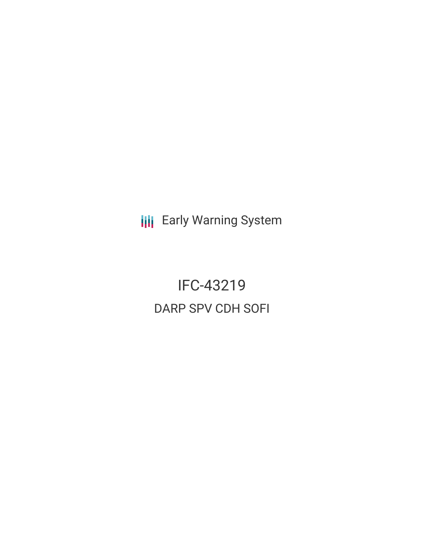**III** Early Warning System

IFC-43219 DARP SPV CDH SOFI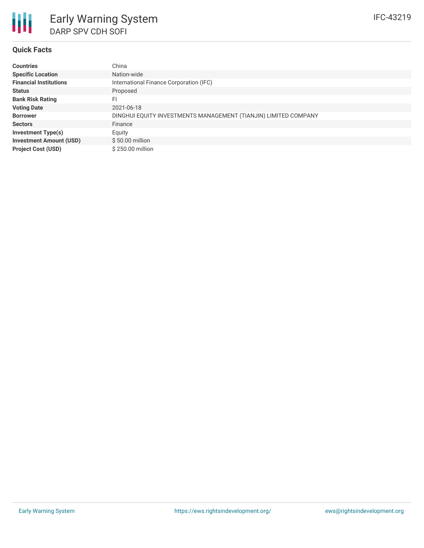# **Quick Facts**

| <b>Countries</b>               | China                                                           |
|--------------------------------|-----------------------------------------------------------------|
| <b>Specific Location</b>       | Nation-wide                                                     |
| <b>Financial Institutions</b>  | International Finance Corporation (IFC)                         |
| <b>Status</b>                  | Proposed                                                        |
| <b>Bank Risk Rating</b>        | FI                                                              |
| <b>Voting Date</b>             | 2021-06-18                                                      |
| <b>Borrower</b>                | DINGHUI EQUITY INVESTMENTS MANAGEMENT (TIANJIN) LIMITED COMPANY |
| <b>Sectors</b>                 | Finance                                                         |
| <b>Investment Type(s)</b>      | Equity                                                          |
| <b>Investment Amount (USD)</b> | $$50.00$ million                                                |
| <b>Project Cost (USD)</b>      | \$250.00 million                                                |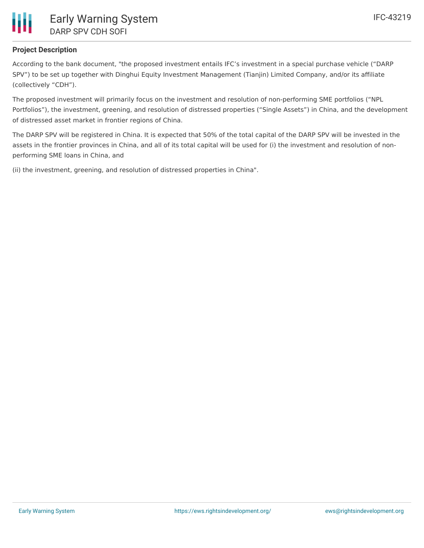

# **Project Description**

According to the bank document, "the proposed investment entails IFC's investment in a special purchase vehicle ("DARP SPV") to be set up together with Dinghui Equity Investment Management (Tianjin) Limited Company, and/or its affiliate (collectively "CDH").

The proposed investment will primarily focus on the investment and resolution of non-performing SME portfolios ("NPL Portfolios"), the investment, greening, and resolution of distressed properties ("Single Assets") in China, and the development of distressed asset market in frontier regions of China.

The DARP SPV will be registered in China. It is expected that 50% of the total capital of the DARP SPV will be invested in the assets in the frontier provinces in China, and all of its total capital will be used for (i) the investment and resolution of nonperforming SME loans in China, and

(ii) the investment, greening, and resolution of distressed properties in China".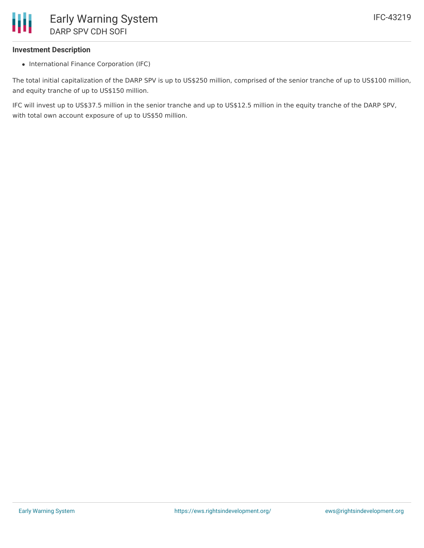# **Investment Description**

• International Finance Corporation (IFC)

The total initial capitalization of the DARP SPV is up to US\$250 million, comprised of the senior tranche of up to US\$100 million, and equity tranche of up to US\$150 million.

IFC will invest up to US\$37.5 million in the senior tranche and up to US\$12.5 million in the equity tranche of the DARP SPV, with total own account exposure of up to US\$50 million.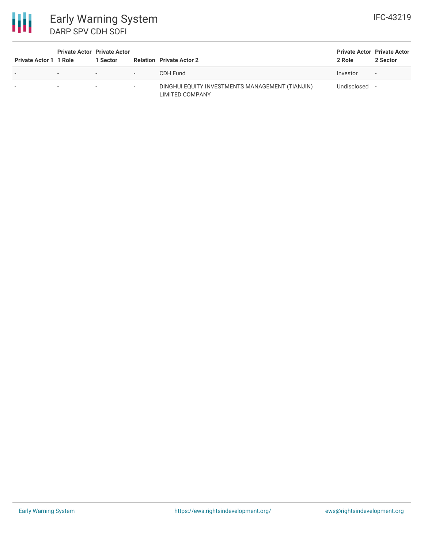

| <b>Private Actor 1 1 Role</b> |                          | <b>Private Actor Private Actor</b><br>1 Sector         |                          | <b>Relation Private Actor 2</b>                                           | <b>Private Actor Private Actor</b><br>2 Role | 2 Sector |
|-------------------------------|--------------------------|--------------------------------------------------------|--------------------------|---------------------------------------------------------------------------|----------------------------------------------|----------|
| $\overline{\phantom{a}}$      | $\overline{\phantom{a}}$ | <b>Service Committee</b><br><b>Service Controllers</b> |                          | CDH Fund                                                                  | Investor                                     | $\sim$   |
|                               | $\overline{\phantom{a}}$ | $\overline{\phantom{a}}$                               | $\overline{\phantom{a}}$ | DINGHUI EQUITY INVESTMENTS MANAGEMENT (TIANJIN)<br><b>LIMITED COMPANY</b> | Undisclosed                                  |          |